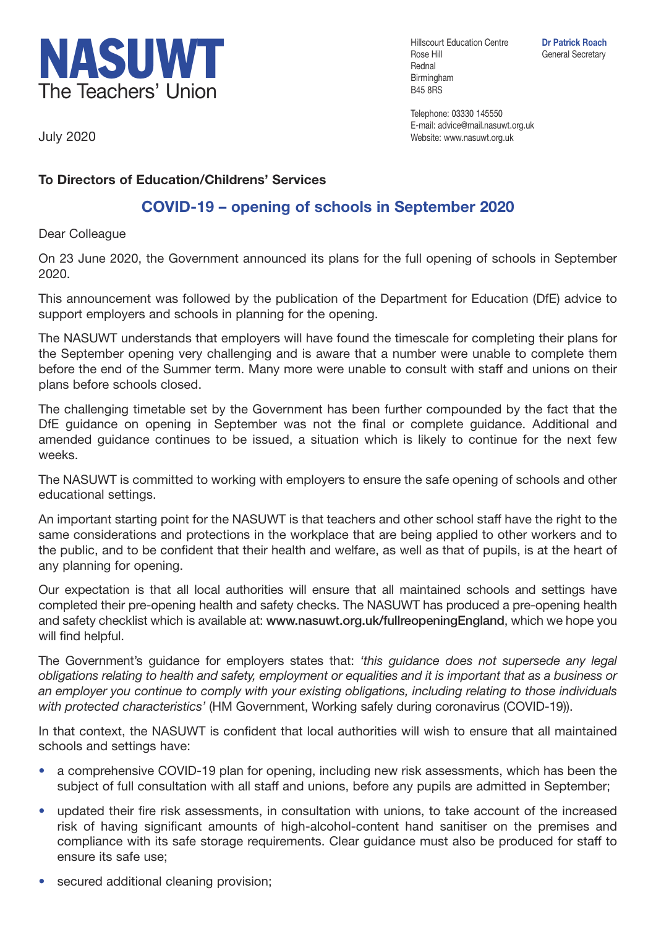

Hillscourt Education Centre **Dr Patrick Roach** Rose Hill General Secretary Rednal Birmingham B45 8RS

Telephone: 03330 145550 E-mail: advice@mail.nasuwt.org.uk Website: www.nasuwt.org.uk

July 2020

## **To Directors of Education/Childrens' Services**

## **COVID-19 – opening of schools in September 2020**

Dear Colleague

On 23 June 2020, the Government announced its plans for the full opening of schools in September 2020.

This announcement was followed by the publication of the Department for Education (DfE) advice to support employers and schools in planning for the opening.

The NASUWT understands that employers will have found the timescale for completing their plans for the September opening very challenging and is aware that a number were unable to complete them before the end of the Summer term. Many more were unable to consult with staff and unions on their plans before schools closed.

The challenging timetable set by the Government has been further compounded by the fact that the DfE guidance on opening in September was not the final or complete guidance. Additional and amended guidance continues to be issued, a situation which is likely to continue for the next few weeks.

The NASUWT is committed to working with employers to ensure the safe opening of schools and other educational settings.

An important starting point for the NASUWT is that teachers and other school staff have the right to the same considerations and protections in the workplace that are being applied to other workers and to the public, and to be confident that their health and welfare, as well as that of pupils, is at the heart of any planning for opening.

Our expectation is that all local authorities will ensure that all maintained schools and settings have completed their pre-opening health and safety checks. The NASUWT has produced a pre-opening health and safety checklist which is available at: **www.nasuwt.org.uk/fullreopeningEngland**, which we hope you will find helpful.

The Government's guidance for employers states that: *'this guidance does not supersede any legal obligations relating to health and safety, employment or equalities and it is important that as a business or an employer you continue to comply with your existing obligations, including relating to those individuals with protected characteristics'* (HM Government, Working safely during coronavirus (COVID-19)).

In that context, the NASUWT is confident that local authorities will wish to ensure that all maintained schools and settings have:

- a comprehensive COVID-19 plan for opening, including new risk assessments, which has been the subject of full consultation with all staff and unions, before any pupils are admitted in September;
- updated their fire risk assessments, in consultation with unions, to take account of the increased risk of having significant amounts of high-alcohol-content hand sanitiser on the premises and compliance with its safe storage requirements. Clear guidance must also be produced for staff to ensure its safe use;
- secured additional cleaning provision;